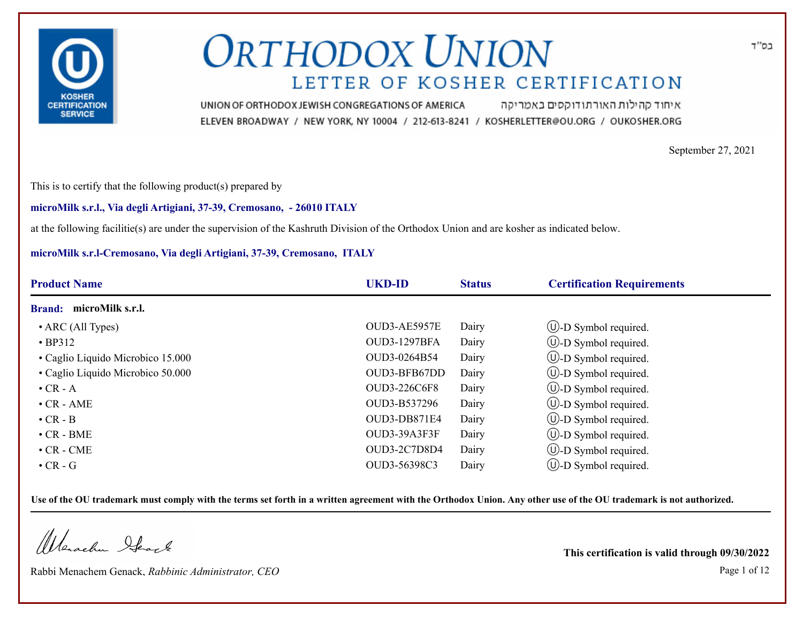

איחוד קהילות האורתודוקסים באמריקה UNION OF ORTHODOX JEWISH CONGREGATIONS OF AMERICA ELEVEN BROADWAY / NEW YORK, NY 10004 / 212-613-8241 / KOSHERLETTER@OU.ORG / OUKOSHER.ORG

September 27, 2021

This is to certify that the following product(s) prepared by

## **microMilk s.r.l., Via degli Artigiani, 37-39, Cremosano, - 26010 ITALY**

at the following facilitie(s) are under the supervision of the Kashruth Division of the Orthodox Union and are kosher as indicated below.

## **microMilk s.r.l-Cremosano, Via degli Artigiani, 37-39, Cremosano, ITALY**

| <b>Product Name</b>               | <b>UKD-ID</b>       | <b>Status</b> | <b>Certification Requirements</b> |  |
|-----------------------------------|---------------------|---------------|-----------------------------------|--|
| microMilk s.r.l.<br><b>Brand:</b> |                     |               |                                   |  |
| $\bullet$ ARC (All Types)         | OUD3-AE5957E        | Dairy         | $\cup$ -D Symbol required.        |  |
| $\cdot$ BP312                     | <b>OUD3-1297BFA</b> | Dairy         | $(U)-D$ Symbol required.          |  |
| • Caglio Liquido Microbico 15.000 | OUD3-0264B54        | Dairy         | $\cup$ -D Symbol required.        |  |
| • Caglio Liquido Microbico 50.000 | OUD3-BFB67DD        | Dairy         | $\cup$ -D Symbol required.        |  |
| $\bullet$ CR - A                  | <b>OUD3-226C6F8</b> | Dairy         | <b>W</b> -D Symbol required.      |  |
| $\cdot$ CR - AME                  | OUD3-B537296        | Dairy         | $\bigcirc$ -D Symbol required.    |  |
| $\cdot$ CR - B                    | OUD3-DB871E4        | Dairy         | $\bigcirc$ -D Symbol required.    |  |
| $\cdot$ CR - BME                  | OUD3-39A3F3F        | Dairy         | $\cup$ -D Symbol required.        |  |
| $\cdot$ CR - CME                  | <b>OUD3-2C7D8D4</b> | Dairy         | $\cup$ -D Symbol required.        |  |
| $\bullet$ CR - G                  | OUD3-56398C3        | Dairy         | $(U)$ -D Symbol required.         |  |

**Use of the OU trademark must comply with the terms set forth in a written agreement with the Orthodox Union. Any other use of the OU trademark is not authorized.**

Werschn Heart

Rabbi Menachem Genack, *Rabbinic Administrator, CEO* Page 1 of 12

**This certification is valid through 09/30/2022**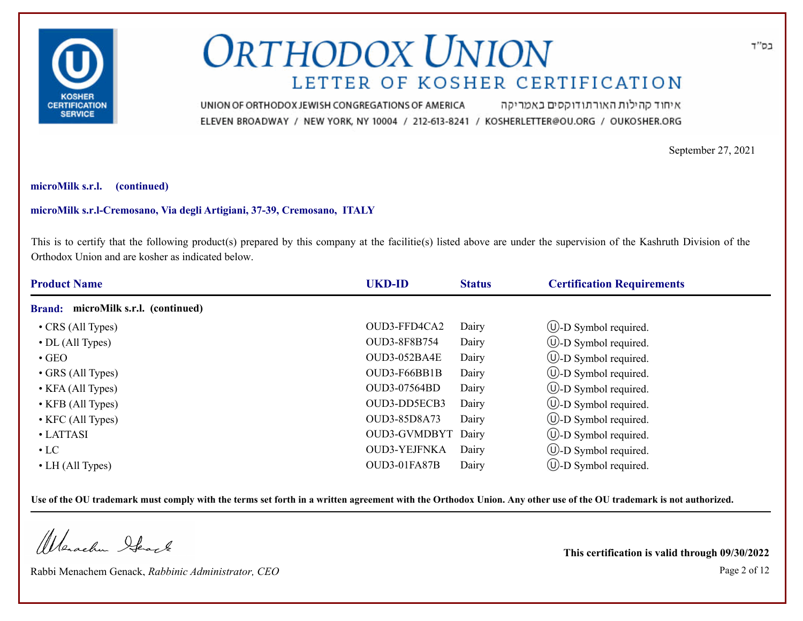

איחוד קהילות האורתודוקסים באמריקה UNION OF ORTHODOX JEWISH CONGREGATIONS OF AMERICA ELEVEN BROADWAY / NEW YORK, NY 10004 / 212-613-8241 / KOSHERLETTER@OU.ORG / OUKOSHER.ORG

September 27, 2021

## **microMilk s.r.l. (continued)**

## **microMilk s.r.l-Cremosano, Via degli Artigiani, 37-39, Cremosano, ITALY**

This is to certify that the following product(s) prepared by this company at the facilitie(s) listed above are under the supervision of the Kashruth Division of the Orthodox Union and are kosher as indicated below.

| <b>Product Name</b>                           | <b>UKD-ID</b>       | <b>Status</b> | <b>Certification Requirements</b> |  |
|-----------------------------------------------|---------------------|---------------|-----------------------------------|--|
| microMilk s.r.l. (continued)<br><b>Brand:</b> |                     |               |                                   |  |
| • CRS (All Types)                             | OUD3-FFD4CA2        | Dairy         | $\bigcup$ -D Symbol required.     |  |
| $\cdot$ DL (All Types)                        | <b>OUD3-8F8B754</b> | Dairy         | $\cup$ -D Symbol required.        |  |
| $\cdot$ GEO                                   | OUD3-052BA4E        | Dairy         | $\cup$ -D Symbol required.        |  |
| • GRS (All Types)                             | OUD3-F66BB1B        | Dairy         | $\cup$ -D Symbol required.        |  |
| • KFA (All Types)                             | OUD3-07564BD        | Dairy         | $\bigcirc$ -D Symbol required.    |  |
| • KFB (All Types)                             | OUD3-DD5ECB3        | Dairy         | $\cup$ -D Symbol required.        |  |
| $\bullet$ KFC (All Types)                     | OUD3-85D8A73        | Dairy         | $\bigcirc$ -D Symbol required.    |  |
| • LATTASI                                     | OUD3-GVMDBYT        | Dairy         | $\bigcirc$ -D Symbol required.    |  |
| $\cdot$ LC                                    | <b>OUD3-YEJFNKA</b> | Dairy         | $\cup$ -D Symbol required.        |  |
| $\bullet$ LH (All Types)                      | OUD3-01FA87B        | Dairy         | $\cup$ -D Symbol required.        |  |

**Use of the OU trademark must comply with the terms set forth in a written agreement with the Orthodox Union. Any other use of the OU trademark is not authorized.**

Werschn Heart

Rabbi Menachem Genack, *Rabbinic Administrator, CEO* Page 2 of 12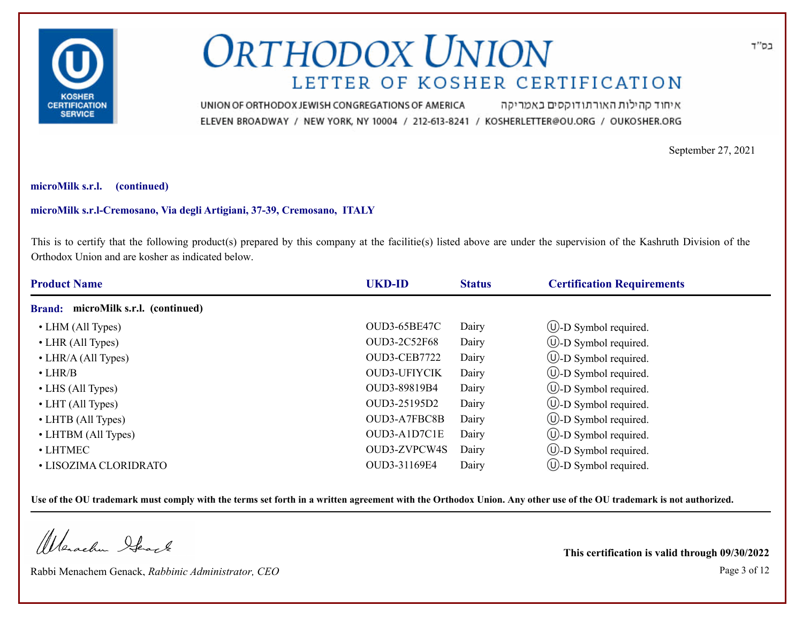

איחוד קהילות האורתודוקסים באמריקה UNION OF ORTHODOX JEWISH CONGREGATIONS OF AMERICA ELEVEN BROADWAY / NEW YORK, NY 10004 / 212-613-8241 / KOSHERLETTER@OU.ORG / OUKOSHER.ORG

September 27, 2021

## **microMilk s.r.l. (continued)**

## **microMilk s.r.l-Cremosano, Via degli Artigiani, 37-39, Cremosano, ITALY**

This is to certify that the following product(s) prepared by this company at the facilitie(s) listed above are under the supervision of the Kashruth Division of the Orthodox Union and are kosher as indicated below.

| <b>Product Name</b>                           | <b>UKD-ID</b>       | <b>Status</b> | <b>Certification Requirements</b> |  |
|-----------------------------------------------|---------------------|---------------|-----------------------------------|--|
| microMilk s.r.l. (continued)<br><b>Brand:</b> |                     |               |                                   |  |
| • LHM (All Types)                             | <b>OUD3-65BE47C</b> | Dairy         | $\cup$ -D Symbol required.        |  |
| • LHR (All Types)                             | OUD3-2C52F68        | Dairy         | $\cup$ -D Symbol required.        |  |
| • LHR/A (All Types)                           | OUD3-CEB7722        | Dairy         | $\cup$ -D Symbol required.        |  |
| $\cdot$ LHR/B                                 | <b>OUD3-UFIYCIK</b> | Dairy         | $\cup$ -D Symbol required.        |  |
| • LHS (All Types)                             | OUD3-89819B4        | Dairy         | $\bigcup$ -D Symbol required.     |  |
| $\bullet$ LHT (All Types)                     | OUD3-25195D2        | Dairy         | $\bigcirc$ -D Symbol required.    |  |
| • LHTB (All Types)                            | OUD3-A7FBC8B        | Dairy         | $\cup$ -D Symbol required.        |  |
| • LHTBM (All Types)                           | OUD3-A1D7C1E        | Dairy         | $\cup$ -D Symbol required.        |  |
| $\bullet$ LHTMEC                              | OUD3-ZVPCW4S        | Dairy         | $\cup$ -D Symbol required.        |  |
| • LISOZIMA CLORIDRATO                         | OUD3-31169E4        | Dairy         | $(U)$ -D Symbol required.         |  |

**Use of the OU trademark must comply with the terms set forth in a written agreement with the Orthodox Union. Any other use of the OU trademark is not authorized.**

Warachen Ifearle

Rabbi Menachem Genack, *Rabbinic Administrator, CEO* Page 3 of 12

**This certification is valid through 09/30/2022**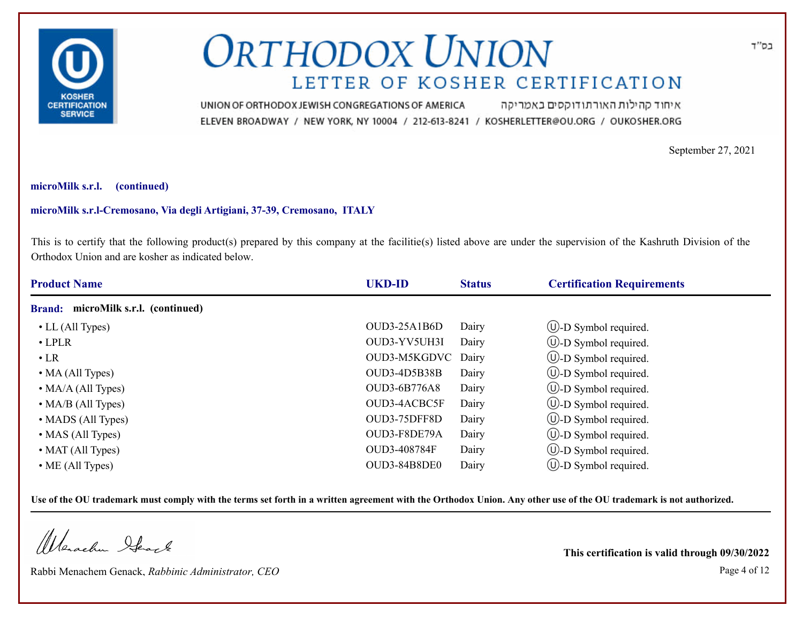

איחוד קהילות האורתודוקסים באמריקה UNION OF ORTHODOX JEWISH CONGREGATIONS OF AMERICA ELEVEN BROADWAY / NEW YORK, NY 10004 / 212-613-8241 / KOSHERLETTER@OU.ORG / OUKOSHER.ORG

September 27, 2021

## **microMilk s.r.l. (continued)**

## **microMilk s.r.l-Cremosano, Via degli Artigiani, 37-39, Cremosano, ITALY**

This is to certify that the following product(s) prepared by this company at the facilitie(s) listed above are under the supervision of the Kashruth Division of the Orthodox Union and are kosher as indicated below.

| <b>Product Name</b>                           | <b>UKD-ID</b>       | <b>Status</b> | <b>Certification Requirements</b> |  |
|-----------------------------------------------|---------------------|---------------|-----------------------------------|--|
| microMilk s.r.l. (continued)<br><b>Brand:</b> |                     |               |                                   |  |
| $\bullet$ LL (All Types)                      | $OUD3-25A1B6D$      | Dairy         | $\bigcup$ -D Symbol required.     |  |
| $\cdot$ LPLR                                  | OUD3-YV5UH3I        | Dairy         | $\cup$ -D Symbol required.        |  |
| $\cdot$ LR                                    | OUD3-M5KGDVC Dairy  |               | $\cup$ -D Symbol required.        |  |
| $\bullet$ MA (All Types)                      | OUD3-4D5B38B        | Dairy         | $\cup$ -D Symbol required.        |  |
| $\bullet$ MA/A (All Types)                    | <b>OUD3-6B776A8</b> | Dairy         | $\cup$ -D Symbol required.        |  |
| $\bullet$ MA/B (All Types)                    | OUD3-4ACBC5F        | Dairy         | $\cup$ -D Symbol required.        |  |
| • MADS (All Types)                            | OUD3-75DFF8D        | Dairy         | $\bigcirc$ -D Symbol required.    |  |
| • MAS (All Types)                             | OUD3-F8DE79A        | Dairy         | $\cup$ -D Symbol required.        |  |
| • MAT (All Types)                             | OUD3-408784F        | Dairy         | $\cup$ -D Symbol required.        |  |
| $\bullet$ ME (All Types)                      | OUD3-84B8DE0        | Dairy         | $\cup$ -D Symbol required.        |  |

**Use of the OU trademark must comply with the terms set forth in a written agreement with the Orthodox Union. Any other use of the OU trademark is not authorized.**

Werachen Ifearle

Rabbi Menachem Genack, *Rabbinic Administrator, CEO* Page 4 of 12

**This certification is valid through 09/30/2022**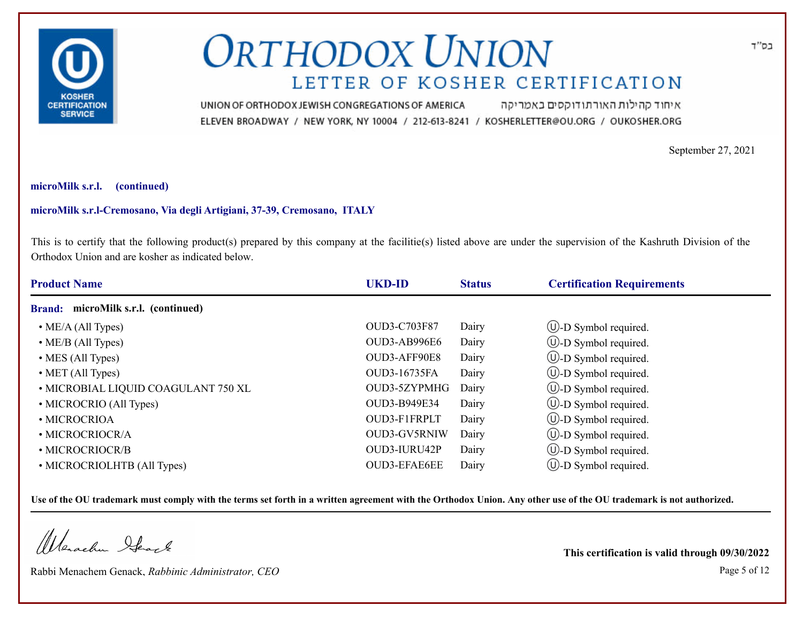

איחוד קהילות האורתודוקסים באמריקה UNION OF ORTHODOX JEWISH CONGREGATIONS OF AMERICA ELEVEN BROADWAY / NEW YORK, NY 10004 / 212-613-8241 / KOSHERLETTER@OU.ORG / OUKOSHER.ORG

September 27, 2021

#### **microMilk s.r.l. (continued)**

## **microMilk s.r.l-Cremosano, Via degli Artigiani, 37-39, Cremosano, ITALY**

This is to certify that the following product(s) prepared by this company at the facilitie(s) listed above are under the supervision of the Kashruth Division of the Orthodox Union and are kosher as indicated below.

| <b>Product Name</b>                 | <b>UKD-ID</b>       | <b>Status</b> | <b>Certification Requirements</b> |  |
|-------------------------------------|---------------------|---------------|-----------------------------------|--|
| Brand: microMilk s.r.l. (continued) |                     |               |                                   |  |
| $\bullet$ ME/A (All Types)          | <b>OUD3-C703F87</b> | Dairy         | $\cup$ -D Symbol required.        |  |
| $\bullet$ ME/B (All Types)          | OUD3-AB996E6        | Dairy         | $\bigcirc$ -D Symbol required.    |  |
| $\bullet$ MES (All Types)           | OUD3-AFF90E8        | Dairy         | $\bigcirc$ -D Symbol required.    |  |
| $\bullet$ MET (All Types)           | OUD3-16735FA        | Dairy         | $\cup$ -D Symbol required.        |  |
| • MICROBIAL LIQUID COAGULANT 750 XL | OUD3-5ZYPMHG        | Dairy         | $\circled{1}$ -D Symbol required. |  |
| • MICROCRIO (All Types)             | OUD3-B949E34        | Dairy         | $\bigcirc$ -D Symbol required.    |  |
| • MICROCRIOA                        | OUD3-F1FRPLT        | Dairy         | $\cup$ -D Symbol required.        |  |
| • MICROCRIOCR/A                     | OUD3-GV5RNIW        | Dairy         | $\cup$ -D Symbol required.        |  |
| • MICROCRIOCR/B                     | OUD3-IURU42P        | Dairy         | $\bigcup$ -D Symbol required.     |  |
| • MICROCRIOLHTB (All Types)         | <b>OUD3-EFAE6EE</b> | Dairy         | $(U)$ -D Symbol required.         |  |

**Use of the OU trademark must comply with the terms set forth in a written agreement with the Orthodox Union. Any other use of the OU trademark is not authorized.**

Werschn Heart

Rabbi Menachem Genack, *Rabbinic Administrator, CEO* Page 5 of 12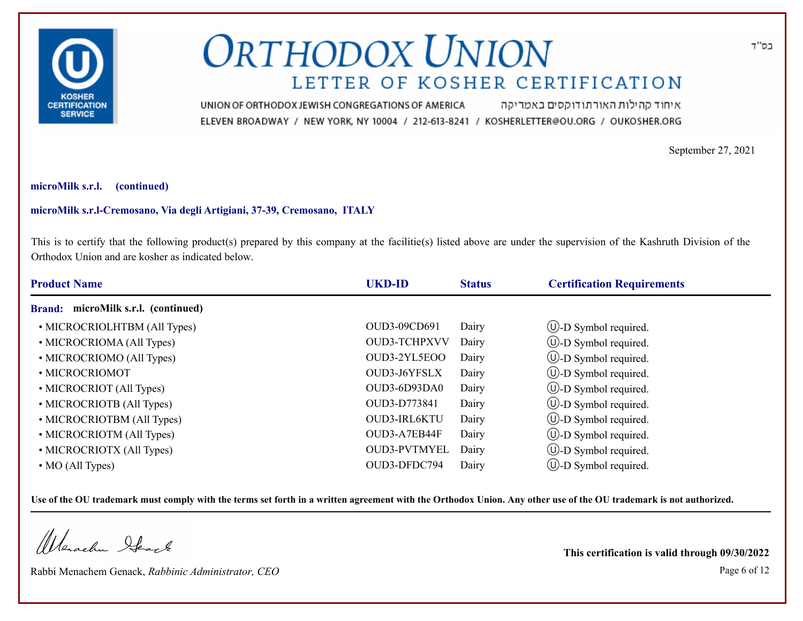

איחוד קהילות האורתודוקסים באמריקה UNION OF ORTHODOX JEWISH CONGREGATIONS OF AMERICA ELEVEN BROADWAY / NEW YORK, NY 10004 / 212-613-8241 / KOSHERLETTER@OU.ORG / OUKOSHER.ORG

September 27, 2021

## **microMilk s.r.l. (continued)**

## **microMilk s.r.l-Cremosano, Via degli Artigiani, 37-39, Cremosano, ITALY**

This is to certify that the following product(s) prepared by this company at the facilitie(s) listed above are under the supervision of the Kashruth Division of the Orthodox Union and are kosher as indicated below.

| <b>Product Name</b>                 | <b>UKD-ID</b>       | <b>Status</b> | <b>Certification Requirements</b> |  |
|-------------------------------------|---------------------|---------------|-----------------------------------|--|
| Brand: microMilk s.r.l. (continued) |                     |               |                                   |  |
| • MICROCRIOLHTBM (All Types)        | OUD3-09CD691        | Dairy         | $\cup$ -D Symbol required.        |  |
| • MICROCRIOMA (All Types)           | <b>OUD3-TCHPXVV</b> | Dairy         | $\bigcirc$ -D Symbol required.    |  |
| • MICROCRIOMO (All Types)           | OUD3-2YL5EOO        | Dairy         | $\cup$ -D Symbol required.        |  |
| · MICROCRIOMOT                      | OUD3-J6YFSLX        | Dairy         | $\cup$ -D Symbol required.        |  |
| • MICROCRIOT (All Types)            | OUD3-6D93DA0        | Dairy         | $\bigcirc$ -D Symbol required.    |  |
| • MICROCRIOTB (All Types)           | OUD3-D773841        | Dairy         | $\bigcirc$ -D Symbol required.    |  |
| • MICROCRIOTBM (All Types)          | OUD3-IRL6KTU        | Dairy         | $\cup$ -D Symbol required.        |  |
| • MICROCRIOTM (All Types)           | OUD3-A7EB44F        | Dairy         | $\cup$ -D Symbol required.        |  |
| • MICROCRIOTX (All Types)           | <b>OUD3-PVTMYEL</b> | Dairy         | $\bigcup$ -D Symbol required.     |  |
| $\bullet$ MO (All Types)            | OUD3-DFDC794        | Dairy         | $\cup$ -D Symbol required.        |  |

**Use of the OU trademark must comply with the terms set forth in a written agreement with the Orthodox Union. Any other use of the OU trademark is not authorized.**

Werachen Ifearle

Rabbi Menachem Genack, *Rabbinic Administrator, CEO* Page 6 of 12

**This certification is valid through 09/30/2022**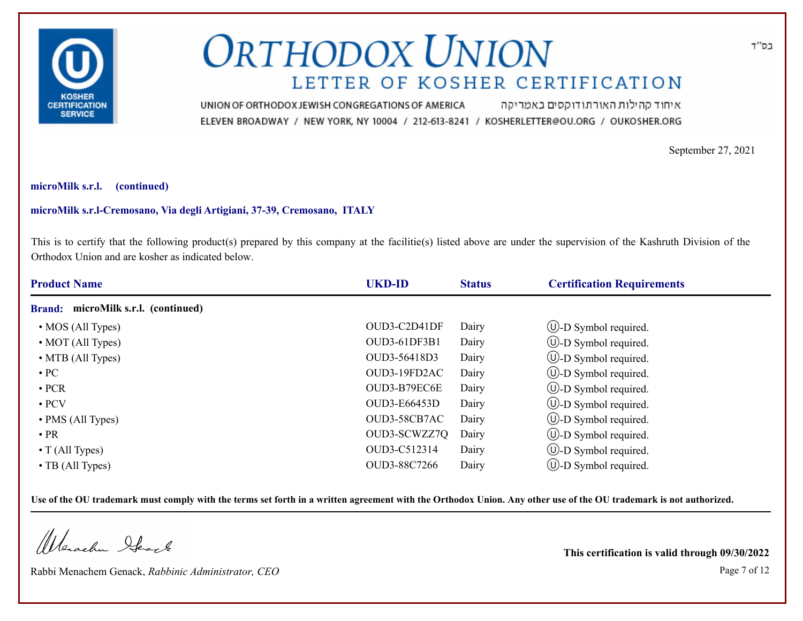

איחוד קהילות האורתודוקסים באמריקה UNION OF ORTHODOX JEWISH CONGREGATIONS OF AMERICA ELEVEN BROADWAY / NEW YORK, NY 10004 / 212-613-8241 / KOSHERLETTER@OU.ORG / OUKOSHER.ORG

September 27, 2021

#### **microMilk s.r.l. (continued)**

## **microMilk s.r.l-Cremosano, Via degli Artigiani, 37-39, Cremosano, ITALY**

This is to certify that the following product(s) prepared by this company at the facilitie(s) listed above are under the supervision of the Kashruth Division of the Orthodox Union and are kosher as indicated below.

| <b>Product Name</b>                           | <b>UKD-ID</b> | <b>Status</b> | <b>Certification Requirements</b> |  |
|-----------------------------------------------|---------------|---------------|-----------------------------------|--|
| microMilk s.r.l. (continued)<br><b>Brand:</b> |               |               |                                   |  |
| • MOS (All Types)                             | OUD3-C2D41DF  | Dairy         | $\cup$ -D Symbol required.        |  |
| • MOT (All Types)                             | OUD3-61DF3B1  | Dairy         | $\cup$ -D Symbol required.        |  |
| • MTB (All Types)                             | OUD3-56418D3  | Dairy         | $\cup$ -D Symbol required.        |  |
| $\cdot$ PC                                    | OUD3-19FD2AC  | Dairy         | $\cup$ -D Symbol required.        |  |
| $\cdot$ PCR                                   | OUD3-B79EC6E  | Dairy         | $\cup$ -D Symbol required.        |  |
| $\cdot$ PCV                                   | OUD3-E66453D  | Dairy         | $\circled{1}$ -D Symbol required. |  |
| • PMS (All Types)                             | OUD3-58CB7AC  | Dairy         | $\cup$ -D Symbol required.        |  |
| $\cdot$ PR                                    | OUD3-SCWZZ7Q  | Dairy         | $\cup$ -D Symbol required.        |  |
| $\bullet$ T (All Types)                       | OUD3-C512314  | Dairy         | $\cup$ -D Symbol required.        |  |
| $\cdot$ TB (All Types)                        | OUD3-88C7266  | Dairy         | $(U)$ -D Symbol required.         |  |

**Use of the OU trademark must comply with the terms set forth in a written agreement with the Orthodox Union. Any other use of the OU trademark is not authorized.**

Werachen Ifearle

Rabbi Menachem Genack, *Rabbinic Administrator, CEO* Page 7 of 12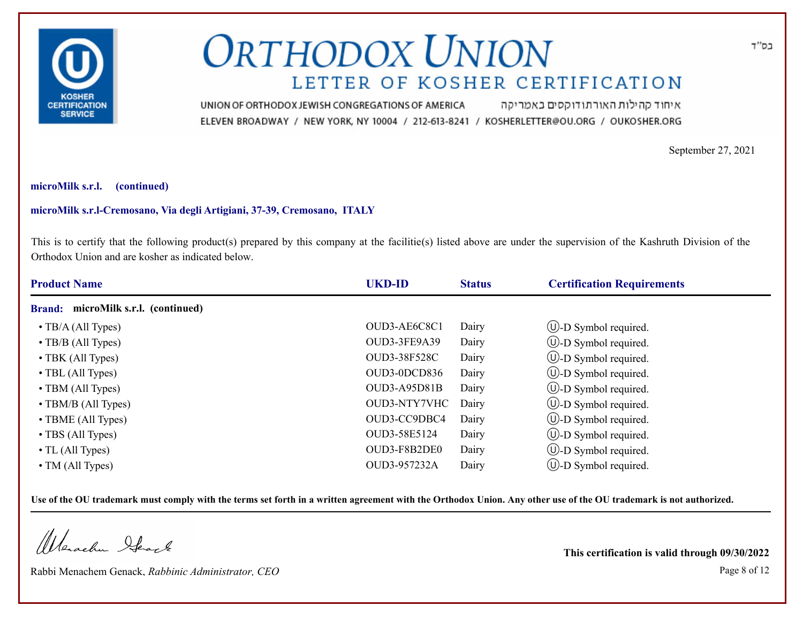

איחוד קהילות האורתודוקסים באמריקה UNION OF ORTHODOX JEWISH CONGREGATIONS OF AMERICA ELEVEN BROADWAY / NEW YORK, NY 10004 / 212-613-8241 / KOSHERLETTER@OU.ORG / OUKOSHER.ORG

September 27, 2021

#### **microMilk s.r.l. (continued)**

## **microMilk s.r.l-Cremosano, Via degli Artigiani, 37-39, Cremosano, ITALY**

This is to certify that the following product(s) prepared by this company at the facilitie(s) listed above are under the supervision of the Kashruth Division of the Orthodox Union and are kosher as indicated below.

| <b>Product Name</b>                           | <b>UKD-ID</b>       | <b>Status</b> | <b>Certification Requirements</b> |  |
|-----------------------------------------------|---------------------|---------------|-----------------------------------|--|
| microMilk s.r.l. (continued)<br><b>Brand:</b> |                     |               |                                   |  |
| $\bullet$ TB/A (All Types)                    | OUD3-AE6C8C1        | Dairy         | $\cup$ -D Symbol required.        |  |
| $\cdot$ TB/B (All Types)                      | OUD3-3FE9A39        | Dairy         | $\cup$ -D Symbol required.        |  |
| • TBK (All Types)                             | <b>OUD3-38F528C</b> | Dairy         | $\cup$ -D Symbol required.        |  |
| $\cdot$ TBL (All Types)                       | OUD3-0DCD836        | Dairy         | $\cup$ -D Symbol required.        |  |
| $\cdot$ TBM (All Types)                       | OUD3-A95D81B        | Dairy         | $\cup$ -D Symbol required.        |  |
| $\cdot$ TBM/B (All Types)                     | OUD3-NTY7VHC        | Dairy         | $\bigcup$ -D Symbol required.     |  |
| $\cdot$ TBME (All Types)                      | OUD3-CC9DBC4        | Dairy         | $\cup$ -D Symbol required.        |  |
| • TBS (All Types)                             | OUD3-58E5124        | Dairy         | $\cup$ -D Symbol required.        |  |
| $\bullet$ TL (All Types)                      | OUD3-F8B2DE0        | Dairy         | $\cup$ -D Symbol required.        |  |
| • TM (All Types)                              | OUD3-957232A        | Dairy         | $\bigcup$ -D Symbol required.     |  |

**Use of the OU trademark must comply with the terms set forth in a written agreement with the Orthodox Union. Any other use of the OU trademark is not authorized.**

Werachen Ifearle

Rabbi Menachem Genack, *Rabbinic Administrator, CEO* Page 8 of 12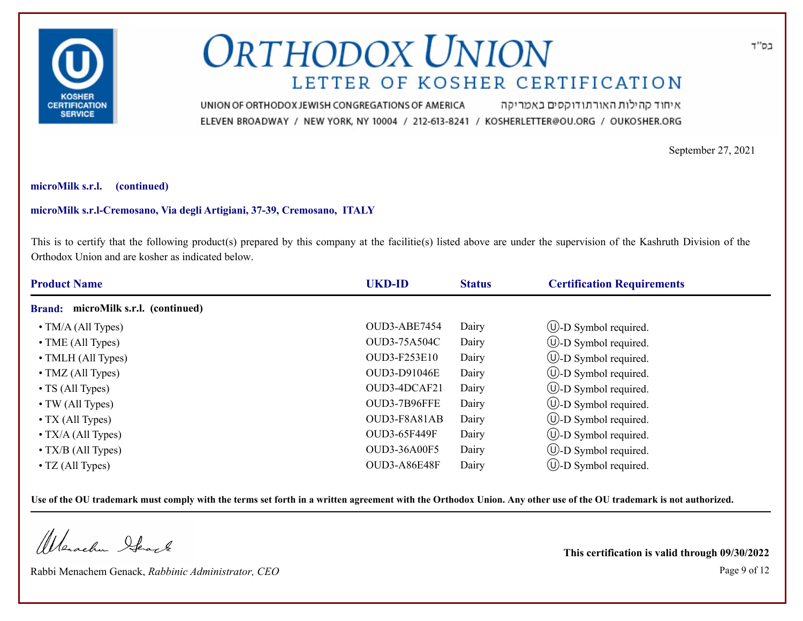

איחוד קהילות האורתודוקסים באמריקה UNION OF ORTHODOX JEWISH CONGREGATIONS OF AMERICA ELEVEN BROADWAY / NEW YORK, NY 10004 / 212-613-8241 / KOSHERLETTER@OU.ORG / OUKOSHER.ORG

September 27, 2021

## **microMilk s.r.l. (continued)**

## **microMilk s.r.l-Cremosano, Via degli Artigiani, 37-39, Cremosano, ITALY**

This is to certify that the following product(s) prepared by this company at the facilitie(s) listed above are under the supervision of the Kashruth Division of the Orthodox Union and are kosher as indicated below.

| <b>Product Name</b>                           | <b>UKD-ID</b>       | <b>Status</b> | <b>Certification Requirements</b> |  |
|-----------------------------------------------|---------------------|---------------|-----------------------------------|--|
| microMilk s.r.l. (continued)<br><b>Brand:</b> |                     |               |                                   |  |
| $\bullet$ TM/A (All Types)                    | OUD3-ABE7454        | Dairy         | $\cup$ -D Symbol required.        |  |
| $\bullet$ TME (All Types)                     | OUD3-75A504C        | Dairy         | $\cup$ -D Symbol required.        |  |
| • TMLH (All Types)                            | <b>OUD3-F253E10</b> | Dairy         | $\cup$ -D Symbol required.        |  |
| $\bullet$ TMZ (All Types)                     | OUD3-D91046E        | Dairy         | $\cup$ -D Symbol required.        |  |
| $\cdot$ TS (All Types)                        | OUD3-4DCAF21        | Dairy         | $\cup$ -D Symbol required.        |  |
| $\bullet$ TW (All Types)                      | OUD3-7B96FFE        | Dairy         | $\bigcup$ -D Symbol required.     |  |
| $\bullet$ TX (All Types)                      | OUD3-F8A81AB        | Dairy         | $\cup$ -D Symbol required.        |  |
| $\bullet$ TX/A (All Types)                    | OUD3-65F449F        | Dairy         | $\cup$ -D Symbol required.        |  |
| $\bullet$ TX/B (All Types)                    | <b>OUD3-36A00F5</b> | Dairy         | $\cup$ -D Symbol required.        |  |
| $\bullet$ TZ (All Types)                      | OUD3-A86E48F        | Dairy         | $\bigcup$ -D Symbol required.     |  |

**Use of the OU trademark must comply with the terms set forth in a written agreement with the Orthodox Union. Any other use of the OU trademark is not authorized.**

Werachen Ifearle

Rabbi Menachem Genack, *Rabbinic Administrator, CEO* Page 9 of 12

**This certification is valid through 09/30/2022**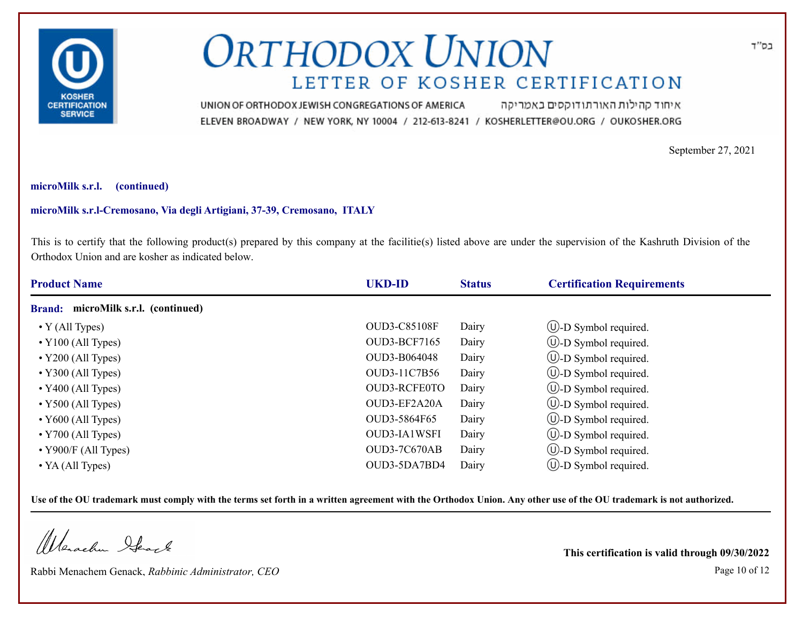

איחוד קהילות האורתודוקסים באמריקה UNION OF ORTHODOX JEWISH CONGREGATIONS OF AMERICA ELEVEN BROADWAY / NEW YORK, NY 10004 / 212-613-8241 / KOSHERLETTER@OU.ORG / OUKOSHER.ORG

September 27, 2021

## **microMilk s.r.l. (continued)**

## **microMilk s.r.l-Cremosano, Via degli Artigiani, 37-39, Cremosano, ITALY**

This is to certify that the following product(s) prepared by this company at the facilitie(s) listed above are under the supervision of the Kashruth Division of the Orthodox Union and are kosher as indicated below.

| <b>Product Name</b>                           | <b>UKD-ID</b>       | <b>Status</b> | <b>Certification Requirements</b> |  |
|-----------------------------------------------|---------------------|---------------|-----------------------------------|--|
| microMilk s.r.l. (continued)<br><b>Brand:</b> |                     |               |                                   |  |
| $\bullet$ Y (All Types)                       | <b>OUD3-C85108F</b> | Dairy         | $\cup$ -D Symbol required.        |  |
| $\cdot$ Y100 (All Types)                      | OUD3-BCF7165        | Dairy         | $\cup$ -D Symbol required.        |  |
| $\cdot$ Y200 (All Types)                      | OUD3-B064048        | Dairy         | $\cup$ -D Symbol required.        |  |
| $\cdot$ Y300 (All Types)                      | OUD3-11C7B56        | Dairy         | $\cup$ -D Symbol required.        |  |
| $\cdot$ Y400 (All Types)                      | OUD3-RCFE0TO        | Dairy         | $\cup$ -D Symbol required.        |  |
| $\cdot$ Y500 (All Types)                      | OUD3-EF2A20A        | Dairy         | $\circled{1}$ -D Symbol required. |  |
| $\cdot$ Y600 (All Types)                      | OUD3-5864F65        | Dairy         | $\cup$ -D Symbol required.        |  |
| $\cdot$ Y700 (All Types)                      | <b>OUD3-IA1WSFI</b> | Dairy         | $\cup$ -D Symbol required.        |  |
| $\cdot$ Y900/F (All Types)                    | OUD3-7C670AB        | Dairy         | $\cup$ -D Symbol required.        |  |
| $\bullet$ YA (All Types)                      | OUD3-5DA7BD4        | Dairy         | $\bigcup$ -D Symbol required.     |  |

**Use of the OU trademark must comply with the terms set forth in a written agreement with the Orthodox Union. Any other use of the OU trademark is not authorized.**

Werachen Ifearle

Rabbi Menachem Genack, *Rabbinic Administrator, CEO* Page 10 of 12

**This certification is valid through 09/30/2022**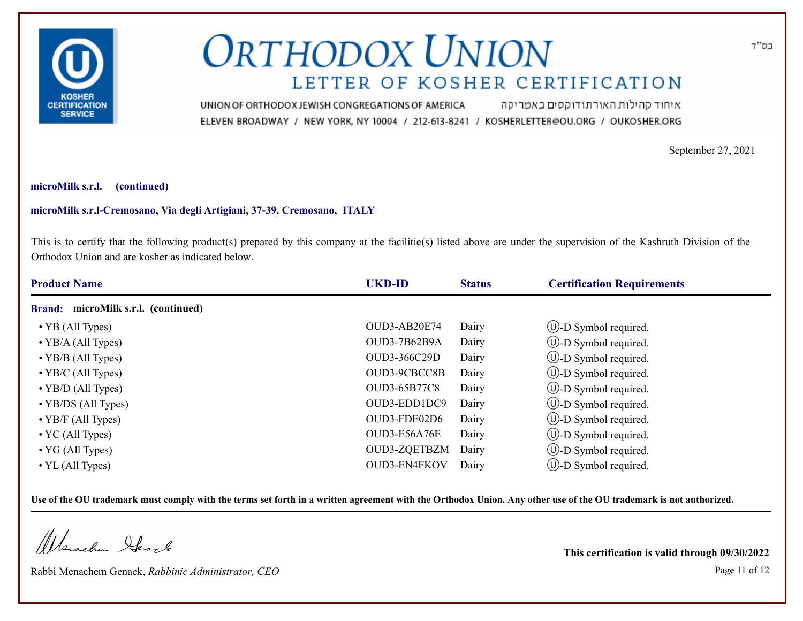

איחוד קהילות האורתודוקסים באמריקה UNION OF ORTHODOX JEWISH CONGREGATIONS OF AMERICA ELEVEN BROADWAY / NEW YORK, NY 10004 / 212-613-8241 / KOSHERLETTER@OU.ORG / OUKOSHER.ORG

September 27, 2021

## **microMilk s.r.l. (continued)**

## **microMilk s.r.l-Cremosano, Via degli Artigiani, 37-39, Cremosano, ITALY**

This is to certify that the following product(s) prepared by this company at the facilitie(s) listed above are under the supervision of the Kashruth Division of the Orthodox Union and are kosher as indicated below.

| <b>Product Name</b>                 | <b>UKD-ID</b>       | <b>Status</b> | <b>Certification Requirements</b> |  |
|-------------------------------------|---------------------|---------------|-----------------------------------|--|
| Brand: microMilk s.r.l. (continued) |                     |               |                                   |  |
| $\cdot$ YB (All Types)              | OUD3-AB20E74        | Dairy         | $\cup$ -D Symbol required.        |  |
| $\bullet$ YB/A (All Types)          | OUD3-7B62B9A        | Dairy         | $\cup$ -D Symbol required.        |  |
| $\bullet$ YB/B (All Types)          | OUD3-366C29D        | Dairy         | $\cup$ -D Symbol required.        |  |
| $\bullet$ YB/C (All Types)          | OUD3-9CBCC8B        | Dairy         | $\cup$ -D Symbol required.        |  |
| $\cdot$ YB/D (All Types)            | <b>OUD3-65B77C8</b> | Dairy         | $\bigcirc$ -D Symbol required.    |  |
| $\cdot$ YB/DS (All Types)           | OUD3-EDD1DC9        | Dairy         | $\cup$ -D Symbol required.        |  |
| $\bullet$ YB/F (All Types)          | OUD3-FDE02D6        | Dairy         | $\cup$ -D Symbol required.        |  |
| $\bullet$ YC (All Types)            | OUD3-E56A76E        | Dairy         | $\cup$ -D Symbol required.        |  |
| $\bullet$ YG (All Types)            | OUD3-ZQETBZM        | Dairy         | $\cup$ -D Symbol required.        |  |
| $\cdot$ YL (All Types)              | OUD3-EN4FKOV        | Dairy         | $\bigcup$ -D Symbol required.     |  |

**Use of the OU trademark must comply with the terms set forth in a written agreement with the Orthodox Union. Any other use of the OU trademark is not authorized.**

Werschn Heart

Rabbi Menachem Genack, *Rabbinic Administrator, CEO* Page 11 of 12